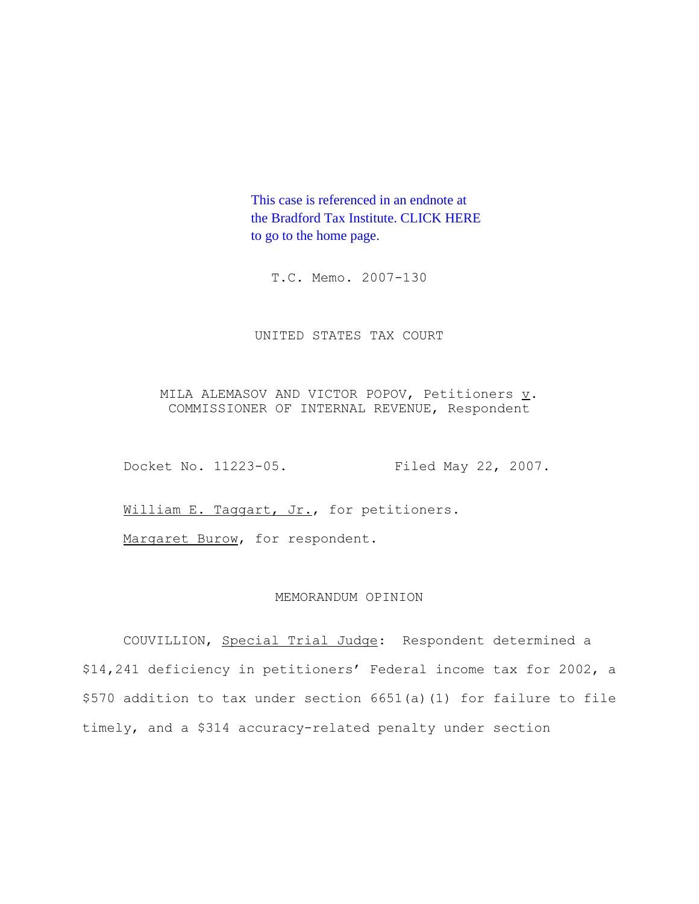This case is referenced in an endnote at [the Bradford Tax Institute. CLICK HERE](http://www.bradfordtaxinstitute.com/)  to go to the home page.

T.C. Memo. 2007-130

UNITED STATES TAX COURT

MILA ALEMASOV AND VICTOR POPOV, Petitioners  $\underline{v}$ . COMMISSIONER OF INTERNAL REVENUE, Respondent

Docket No. 11223-05. Filed May 22, 2007.

William E. Taggart, Jr., for petitioners.

Margaret Burow, for respondent.

# MEMORANDUM OPINION

COUVILLION, Special Trial Judge: Respondent determined a \$14,241 deficiency in petitioners' Federal income tax for 2002, a \$570 addition to tax under section 6651(a)(1) for failure to file timely, and a \$314 accuracy-related penalty under section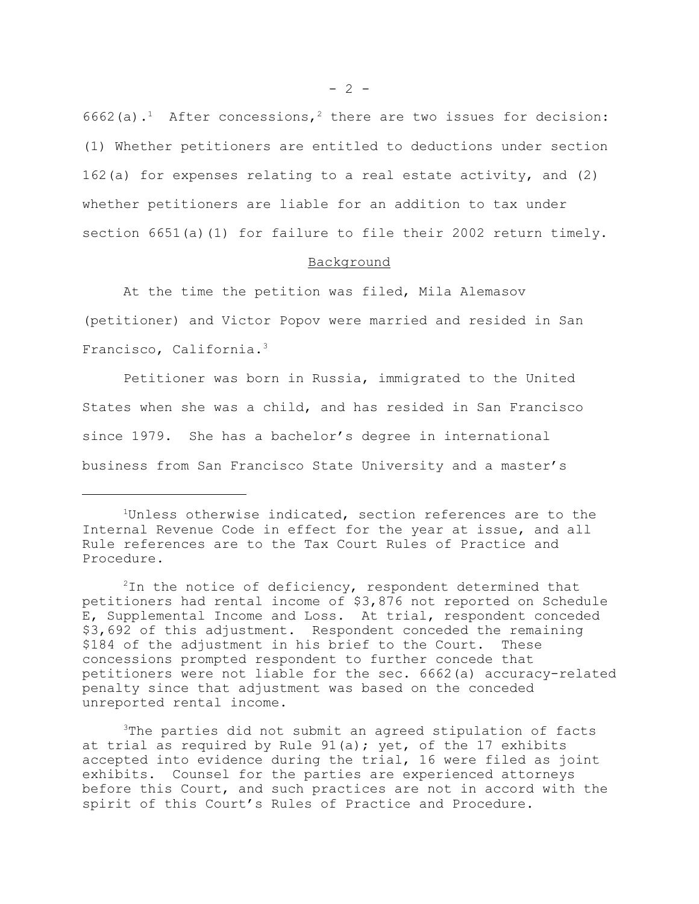6662(a).<sup>1</sup> After concessions,<sup>2</sup> there are two issues for decision: (1) Whether petitioners are entitled to deductions under section 162(a) for expenses relating to a real estate activity, and (2) whether petitioners are liable for an addition to tax under section  $6651(a)(1)$  for failure to file their 2002 return timely.

## Background

At the time the petition was filed, Mila Alemasov (petitioner) and Victor Popov were married and resided in San Francisco, California.3

Petitioner was born in Russia, immigrated to the United States when she was a child, and has resided in San Francisco since 1979. She has a bachelor's degree in international business from San Francisco State University and a master's

3The parties did not submit an agreed stipulation of facts at trial as required by Rule 91(a); yet, of the 17 exhibits accepted into evidence during the trial, 16 were filed as joint exhibits. Counsel for the parties are experienced attorneys before this Court, and such practices are not in accord with the spirit of this Court's Rules of Practice and Procedure.

<sup>&</sup>lt;sup>1</sup>Unless otherwise indicated, section references are to the Internal Revenue Code in effect for the year at issue, and all Rule references are to the Tax Court Rules of Practice and Procedure.

 $2$ In the notice of deficiency, respondent determined that petitioners had rental income of \$3,876 not reported on Schedule E, Supplemental Income and Loss. At trial, respondent conceded \$3,692 of this adjustment. Respondent conceded the remaining \$184 of the adjustment in his brief to the Court. These concessions prompted respondent to further concede that petitioners were not liable for the sec. 6662(a) accuracy-related penalty since that adjustment was based on the conceded unreported rental income.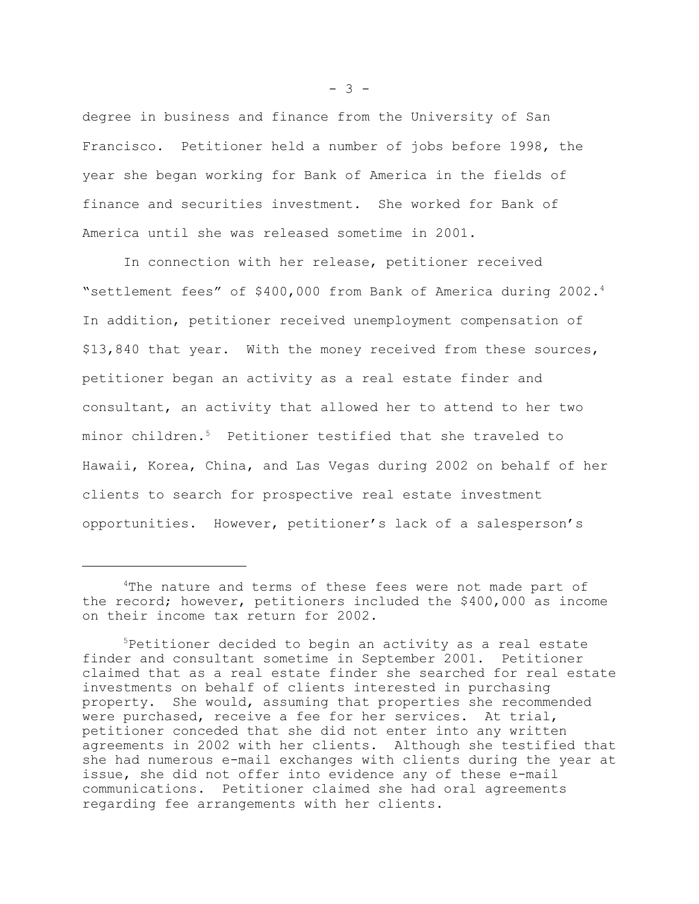degree in business and finance from the University of San Francisco. Petitioner held a number of jobs before 1998, the year she began working for Bank of America in the fields of finance and securities investment. She worked for Bank of America until she was released sometime in 2001.

In connection with her release, petitioner received "settlement fees" of \$400,000 from Bank of America during 2002.4 In addition, petitioner received unemployment compensation of \$13,840 that year. With the money received from these sources, petitioner began an activity as a real estate finder and consultant, an activity that allowed her to attend to her two minor children.5 Petitioner testified that she traveled to Hawaii, Korea, China, and Las Vegas during 2002 on behalf of her clients to search for prospective real estate investment opportunities. However, petitioner's lack of a salesperson's

 $- 3 -$ 

<sup>&</sup>lt;sup>4</sup>The nature and terms of these fees were not made part of the record; however, petitioners included the \$400,000 as income on their income tax return for 2002.

<sup>5</sup>Petitioner decided to begin an activity as a real estate finder and consultant sometime in September 2001. Petitioner claimed that as a real estate finder she searched for real estate investments on behalf of clients interested in purchasing property. She would, assuming that properties she recommended were purchased, receive a fee for her services. At trial, petitioner conceded that she did not enter into any written agreements in 2002 with her clients. Although she testified that she had numerous e-mail exchanges with clients during the year at issue, she did not offer into evidence any of these e-mail communications. Petitioner claimed she had oral agreements regarding fee arrangements with her clients.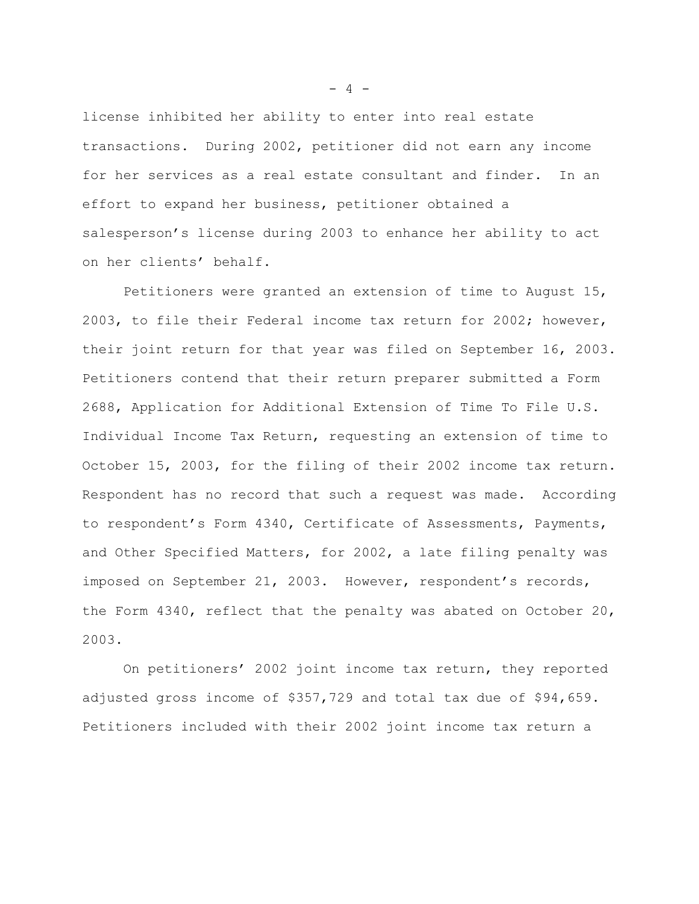license inhibited her ability to enter into real estate transactions. During 2002, petitioner did not earn any income for her services as a real estate consultant and finder. In an effort to expand her business, petitioner obtained a salesperson's license during 2003 to enhance her ability to act on her clients' behalf.

Petitioners were granted an extension of time to August 15, 2003, to file their Federal income tax return for 2002; however, their joint return for that year was filed on September 16, 2003. Petitioners contend that their return preparer submitted a Form 2688, Application for Additional Extension of Time To File U.S. Individual Income Tax Return, requesting an extension of time to October 15, 2003, for the filing of their 2002 income tax return. Respondent has no record that such a request was made. According to respondent's Form 4340, Certificate of Assessments, Payments, and Other Specified Matters, for 2002, a late filing penalty was imposed on September 21, 2003. However, respondent's records, the Form 4340, reflect that the penalty was abated on October 20, 2003.

On petitioners' 2002 joint income tax return, they reported adjusted gross income of \$357,729 and total tax due of \$94,659. Petitioners included with their 2002 joint income tax return a

 $- 4 -$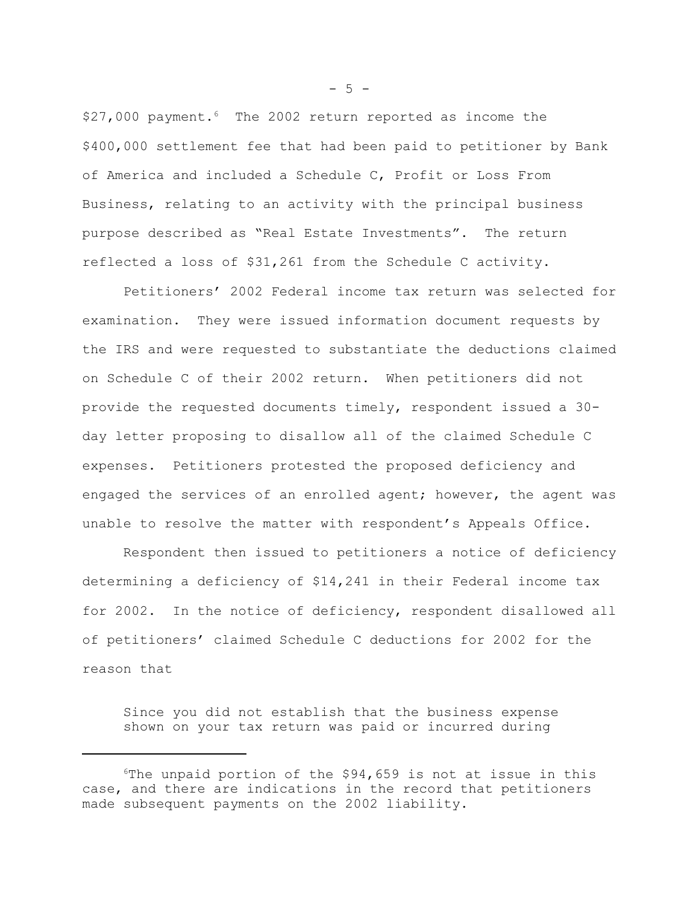$$27,000$  payment.<sup>6</sup> The 2002 return reported as income the \$400,000 settlement fee that had been paid to petitioner by Bank of America and included a Schedule C, Profit or Loss From Business, relating to an activity with the principal business purpose described as "Real Estate Investments". The return reflected a loss of \$31,261 from the Schedule C activity.

Petitioners' 2002 Federal income tax return was selected for examination. They were issued information document requests by the IRS and were requested to substantiate the deductions claimed on Schedule C of their 2002 return. When petitioners did not provide the requested documents timely, respondent issued a 30 day letter proposing to disallow all of the claimed Schedule C expenses. Petitioners protested the proposed deficiency and engaged the services of an enrolled agent; however, the agent was unable to resolve the matter with respondent's Appeals Office.

Respondent then issued to petitioners a notice of deficiency determining a deficiency of \$14,241 in their Federal income tax for 2002. In the notice of deficiency, respondent disallowed all of petitioners' claimed Schedule C deductions for 2002 for the reason that

Since you did not establish that the business expense shown on your tax return was paid or incurred during

 $-5 -$ 

 $6$ The unpaid portion of the \$94,659 is not at issue in this case, and there are indications in the record that petitioners made subsequent payments on the 2002 liability.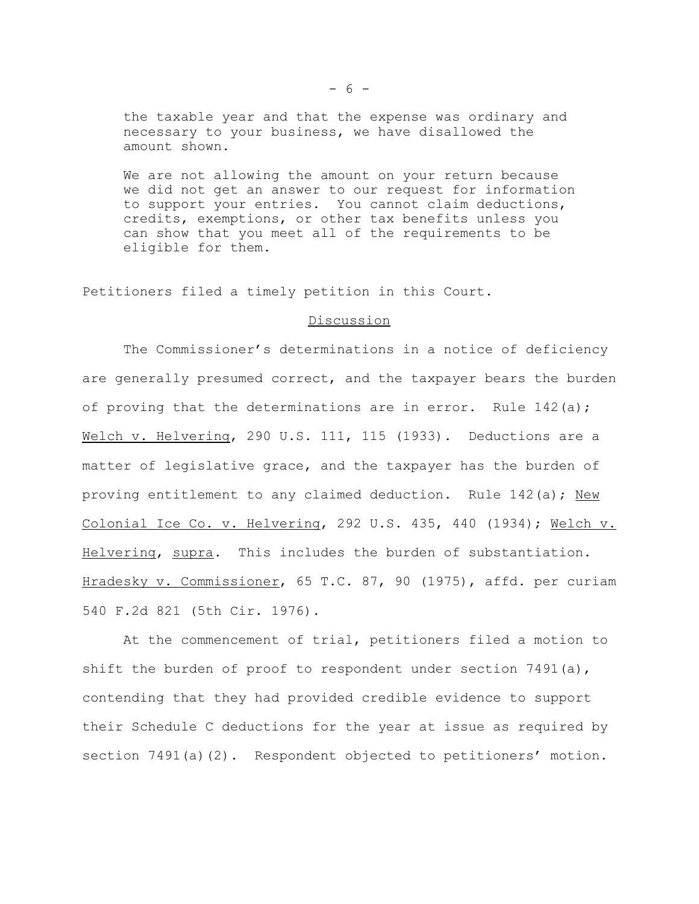the taxable year and that the expense was ordinary and necessary to your business, we have disallowed the amount shown.

We are not allowing the amount on your return because we did not get an answer to our request for information to support your entries. You cannot claim deductions, credits, exemptions, or other tax benefits unless you can show that you meet all of the requirements to be eligible for them.

Petitioners filed a timely petition in this Court.

## Discussion

The Commissioner's determinations in a notice of deficiency are generally presumed correct, and the taxpayer bears the burden of proving that the determinations are in error. Rule 142(a); Welch v. Helvering, 290 U.S. 111, 115 (1933). Deductions are a matter of legislative grace, and the taxpayer has the burden of proving entitlement to any claimed deduction. Rule 142(a); New Colonial Ice Co. v. Helvering, 292 U.S. 435, 440 (1934); Welch v. Helvering, supra. This includes the burden of substantiation. Hradesky v. Commissioner, 65 T.C. 87, 90 (1975), affd. per curiam 540 F.2d 821 (5th Cir. 1976).

At the commencement of trial, petitioners filed a motion to shift the burden of proof to respondent under section 7491(a), contending that they had provided credible evidence to support their Schedule C deductions for the year at issue as required by section 7491(a)(2). Respondent objected to petitioners' motion.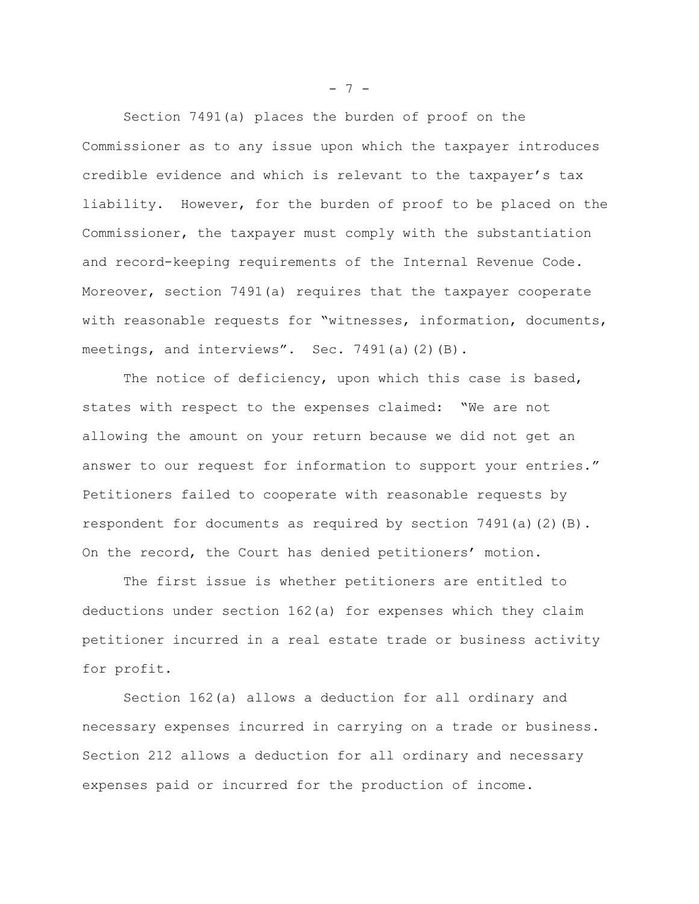Section 7491(a) places the burden of proof on the Commissioner as to any issue upon which the taxpayer introduces credible evidence and which is relevant to the taxpayer's tax liability. However, for the burden of proof to be placed on the Commissioner, the taxpayer must comply with the substantiation and record-keeping requirements of the Internal Revenue Code. Moreover, section 7491(a) requires that the taxpayer cooperate with reasonable requests for "witnesses, information, documents, meetings, and interviews". Sec. 7491(a)(2)(B).

The notice of deficiency, upon which this case is based, states with respect to the expenses claimed: "We are not allowing the amount on your return because we did not get an answer to our request for information to support your entries." Petitioners failed to cooperate with reasonable requests by respondent for documents as required by section  $7491(a)(2)(B)$ . On the record, the Court has denied petitioners' motion.

The first issue is whether petitioners are entitled to deductions under section 162(a) for expenses which they claim petitioner incurred in a real estate trade or business activity for profit.

Section 162(a) allows a deduction for all ordinary and necessary expenses incurred in carrying on a trade or business. Section 212 allows a deduction for all ordinary and necessary expenses paid or incurred for the production of income.

 $- 7 -$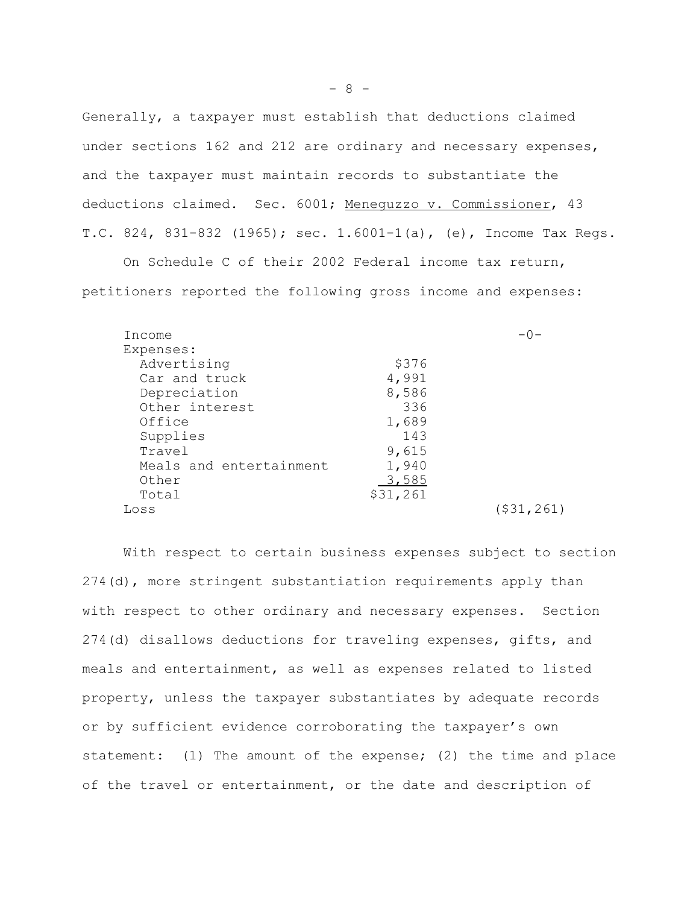Generally, a taxpayer must establish that deductions claimed under sections 162 and 212 are ordinary and necessary expenses, and the taxpayer must maintain records to substantiate the deductions claimed. Sec. 6001; Menequzzo v. Commissioner, 43 T.C. 824, 831-832 (1965); sec. 1.6001-1(a), (e), Income Tax Regs.

petitioners reported the following gross income and expenses:

On Schedule C of their 2002 Federal income tax return,

| Income                  |          | $-0-$      |
|-------------------------|----------|------------|
| Expenses:               |          |            |
| Advertising             | \$376    |            |
| Car and truck           | 4,991    |            |
| Depreciation            | 8,586    |            |
| Other interest          | 336      |            |
| Office                  | 1,689    |            |
| Supplies                | 143      |            |
| Travel                  | 9,615    |            |
| Meals and entertainment | 1,940    |            |
| Other                   | 3,585    |            |
| Total                   | \$31,261 |            |
| Loss                    |          | (531, 261) |

With respect to certain business expenses subject to section 274(d), more stringent substantiation requirements apply than with respect to other ordinary and necessary expenses. Section 274(d) disallows deductions for traveling expenses, gifts, and meals and entertainment, as well as expenses related to listed property, unless the taxpayer substantiates by adequate records or by sufficient evidence corroborating the taxpayer's own statement: (1) The amount of the expense; (2) the time and place of the travel or entertainment, or the date and description of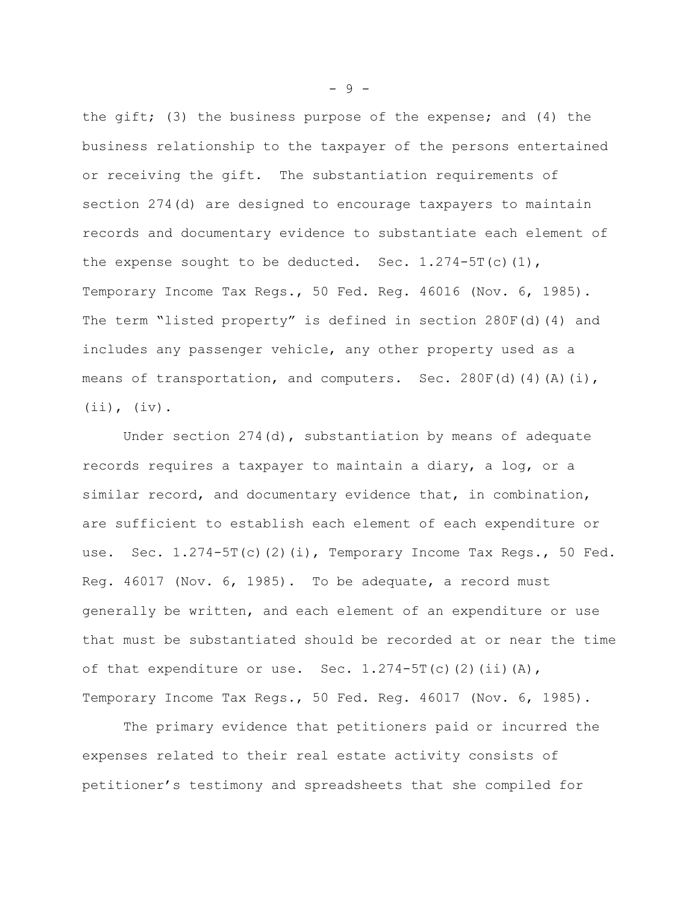the gift; (3) the business purpose of the expense; and (4) the business relationship to the taxpayer of the persons entertained or receiving the gift. The substantiation requirements of section 274(d) are designed to encourage taxpayers to maintain records and documentary evidence to substantiate each element of the expense sought to be deducted. Sec.  $1.274 - 5T(c)(1)$ , Temporary Income Tax Regs., 50 Fed. Reg. 46016 (Nov. 6, 1985). The term "listed property" is defined in section 280F(d)(4) and includes any passenger vehicle, any other property used as a means of transportation, and computers. Sec. 280F(d)(4)(A)(i), (ii), (iv).

Under section  $274$  (d), substantiation by means of adequate records requires a taxpayer to maintain a diary, a log, or a similar record, and documentary evidence that, in combination, are sufficient to establish each element of each expenditure or use. Sec. 1.274-5T(c)(2)(i), Temporary Income Tax Regs., 50 Fed. Reg. 46017 (Nov. 6, 1985). To be adequate, a record must generally be written, and each element of an expenditure or use that must be substantiated should be recorded at or near the time of that expenditure or use. Sec.  $1.274-5T(c)$  (2)(ii)(A), Temporary Income Tax Regs., 50 Fed. Reg. 46017 (Nov. 6, 1985).

The primary evidence that petitioners paid or incurred the expenses related to their real estate activity consists of petitioner's testimony and spreadsheets that she compiled for

- 9 -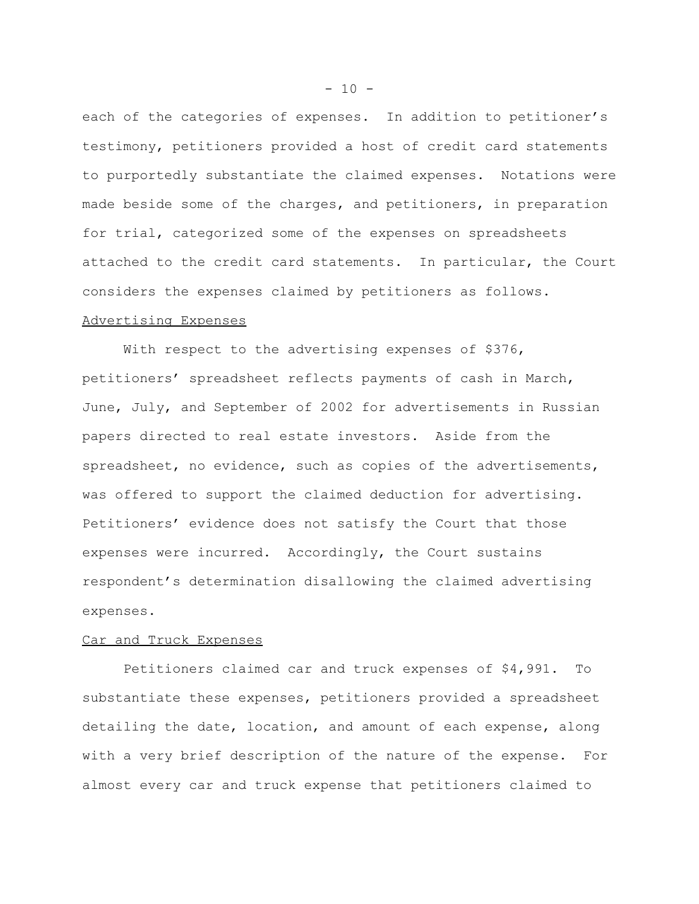each of the categories of expenses. In addition to petitioner's testimony, petitioners provided a host of credit card statements to purportedly substantiate the claimed expenses. Notations were made beside some of the charges, and petitioners, in preparation for trial, categorized some of the expenses on spreadsheets attached to the credit card statements. In particular, the Court considers the expenses claimed by petitioners as follows. Advertising Expenses

With respect to the advertising expenses of \$376, petitioners' spreadsheet reflects payments of cash in March, June, July, and September of 2002 for advertisements in Russian papers directed to real estate investors. Aside from the spreadsheet, no evidence, such as copies of the advertisements, was offered to support the claimed deduction for advertising. Petitioners' evidence does not satisfy the Court that those expenses were incurred. Accordingly, the Court sustains respondent's determination disallowing the claimed advertising expenses.

## Car and Truck Expenses

Petitioners claimed car and truck expenses of \$4,991. To substantiate these expenses, petitioners provided a spreadsheet detailing the date, location, and amount of each expense, along with a very brief description of the nature of the expense. For almost every car and truck expense that petitioners claimed to

 $-10 -$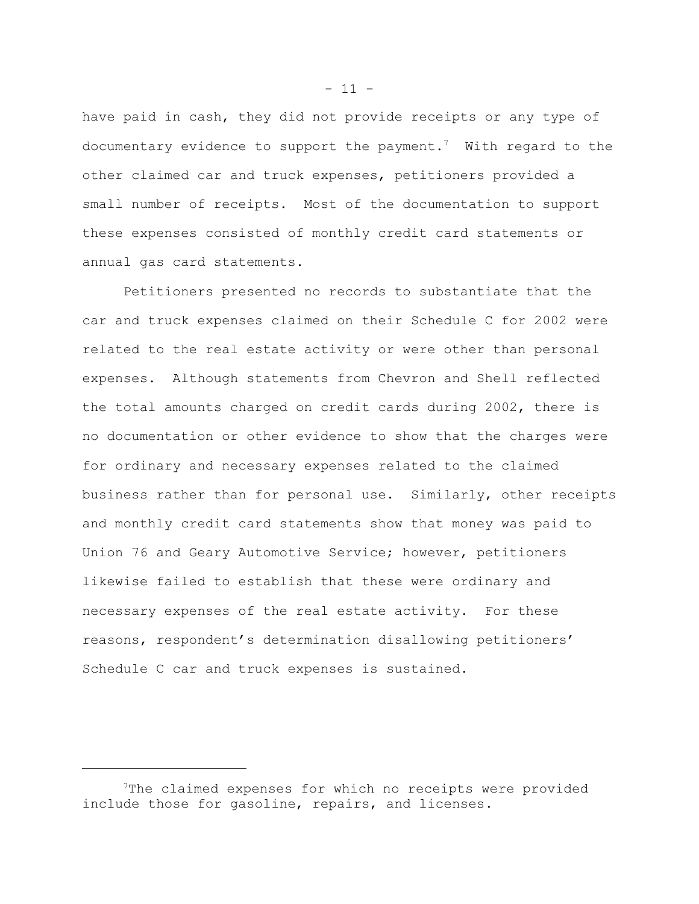have paid in cash, they did not provide receipts or any type of documentary evidence to support the payment.<sup>7</sup> With regard to the other claimed car and truck expenses, petitioners provided a small number of receipts. Most of the documentation to support these expenses consisted of monthly credit card statements or annual gas card statements.

Petitioners presented no records to substantiate that the car and truck expenses claimed on their Schedule C for 2002 were related to the real estate activity or were other than personal expenses. Although statements from Chevron and Shell reflected the total amounts charged on credit cards during 2002, there is no documentation or other evidence to show that the charges were for ordinary and necessary expenses related to the claimed business rather than for personal use. Similarly, other receipts and monthly credit card statements show that money was paid to Union 76 and Geary Automotive Service; however, petitioners likewise failed to establish that these were ordinary and necessary expenses of the real estate activity. For these reasons, respondent's determination disallowing petitioners' Schedule C car and truck expenses is sustained.

 $- 11 -$ 

<sup>7</sup>The claimed expenses for which no receipts were provided include those for gasoline, repairs, and licenses.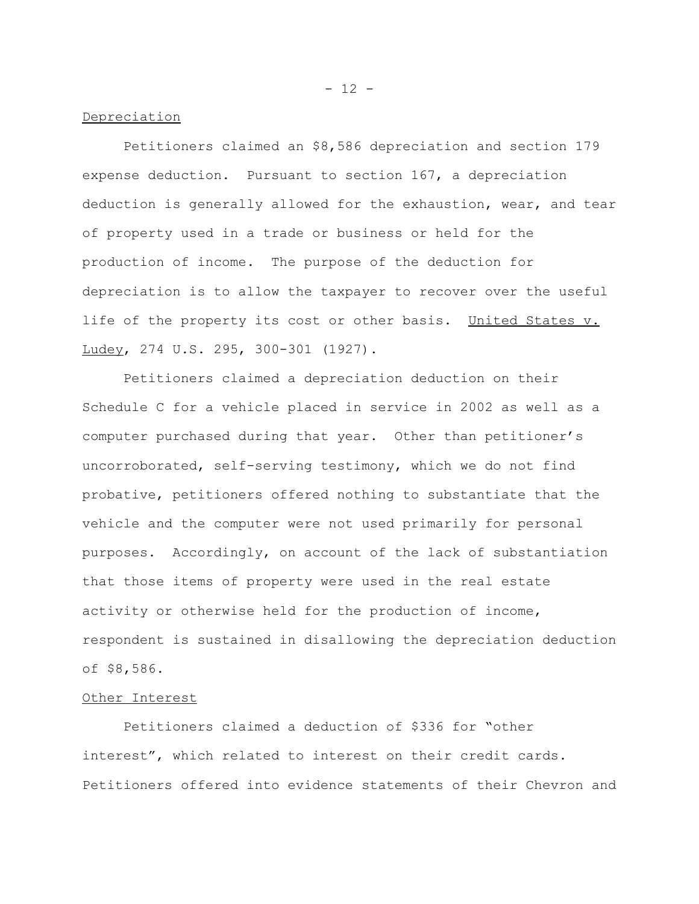Depreciation

Petitioners claimed an \$8,586 depreciation and section 179 expense deduction. Pursuant to section 167, a depreciation deduction is generally allowed for the exhaustion, wear, and tear of property used in a trade or business or held for the production of income. The purpose of the deduction for depreciation is to allow the taxpayer to recover over the useful life of the property its cost or other basis. United States v. Ludey, 274 U.S. 295, 300-301 (1927).

Petitioners claimed a depreciation deduction on their Schedule C for a vehicle placed in service in 2002 as well as a computer purchased during that year. Other than petitioner's uncorroborated, self-serving testimony, which we do not find probative, petitioners offered nothing to substantiate that the vehicle and the computer were not used primarily for personal purposes. Accordingly, on account of the lack of substantiation that those items of property were used in the real estate activity or otherwise held for the production of income, respondent is sustained in disallowing the depreciation deduction of \$8,586.

## Other Interest

Petitioners claimed a deduction of \$336 for "other interest", which related to interest on their credit cards. Petitioners offered into evidence statements of their Chevron and

 $- 12 -$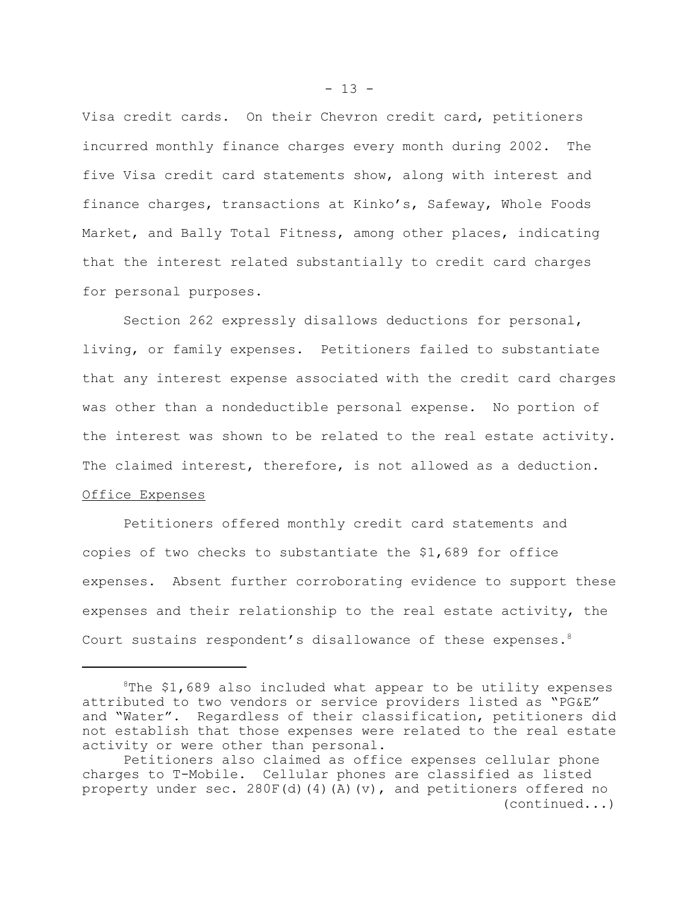Visa credit cards. On their Chevron credit card, petitioners incurred monthly finance charges every month during 2002. The five Visa credit card statements show, along with interest and finance charges, transactions at Kinko's, Safeway, Whole Foods Market, and Bally Total Fitness, among other places, indicating that the interest related substantially to credit card charges for personal purposes.

Section 262 expressly disallows deductions for personal, living, or family expenses. Petitioners failed to substantiate that any interest expense associated with the credit card charges was other than a nondeductible personal expense. No portion of the interest was shown to be related to the real estate activity. The claimed interest, therefore, is not allowed as a deduction.

# Office Expenses

Petitioners offered monthly credit card statements and copies of two checks to substantiate the \$1,689 for office expenses. Absent further corroborating evidence to support these expenses and their relationship to the real estate activity, the Court sustains respondent's disallowance of these expenses.<sup>8</sup>

 $8$ The \$1,689 also included what appear to be utility expenses attributed to two vendors or service providers listed as "PG&E" and "Water". Regardless of their classification, petitioners did not establish that those expenses were related to the real estate activity or were other than personal.

Petitioners also claimed as office expenses cellular phone charges to T-Mobile. Cellular phones are classified as listed property under sec.  $280F(d)(4)(A)(v)$ , and petitioners offered no (continued...)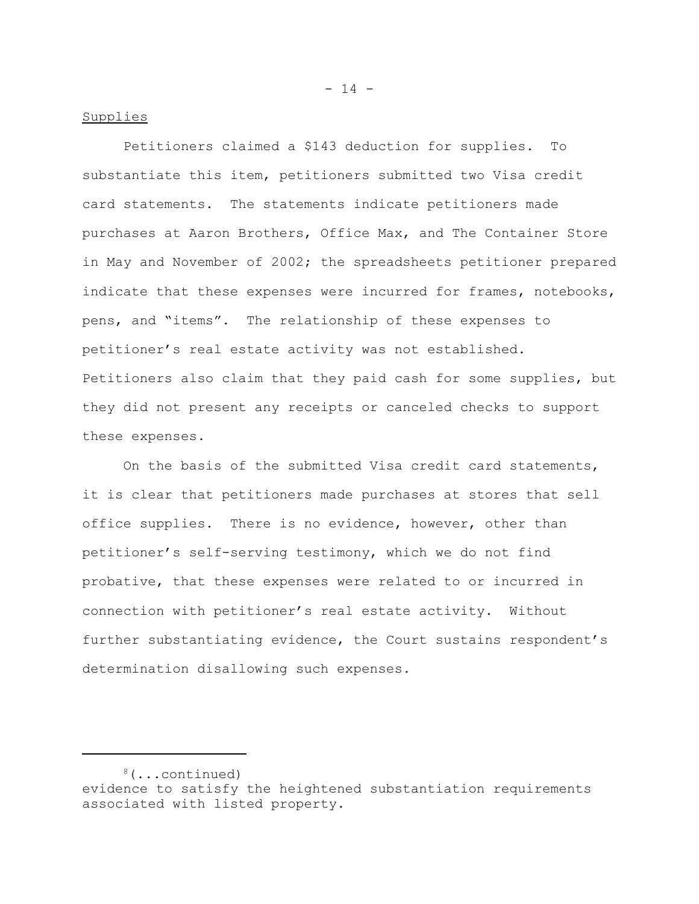### Supplies

Petitioners claimed a \$143 deduction for supplies. To substantiate this item, petitioners submitted two Visa credit card statements. The statements indicate petitioners made purchases at Aaron Brothers, Office Max, and The Container Store in May and November of 2002; the spreadsheets petitioner prepared indicate that these expenses were incurred for frames, notebooks, pens, and "items". The relationship of these expenses to petitioner's real estate activity was not established. Petitioners also claim that they paid cash for some supplies, but they did not present any receipts or canceled checks to support these expenses.

On the basis of the submitted Visa credit card statements, it is clear that petitioners made purchases at stores that sell office supplies. There is no evidence, however, other than petitioner's self-serving testimony, which we do not find probative, that these expenses were related to or incurred in connection with petitioner's real estate activity. Without further substantiating evidence, the Court sustains respondent's determination disallowing such expenses.

 $- 14 -$ 

<sup>8(...</sup>continued) evidence to satisfy the heightened substantiation requirements associated with listed property.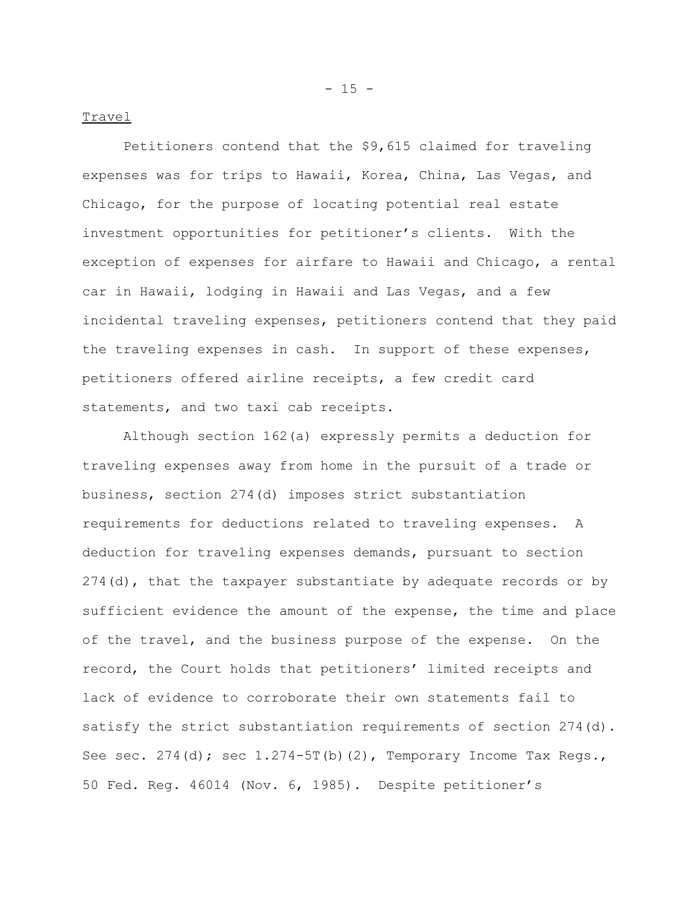#### Travel

Petitioners contend that the \$9,615 claimed for traveling expenses was for trips to Hawaii, Korea, China, Las Vegas, and Chicago, for the purpose of locating potential real estate investment opportunities for petitioner's clients. With the exception of expenses for airfare to Hawaii and Chicago, a rental car in Hawaii, lodging in Hawaii and Las Vegas, and a few incidental traveling expenses, petitioners contend that they paid the traveling expenses in cash. In support of these expenses, petitioners offered airline receipts, a few credit card statements, and two taxi cab receipts.

Although section 162(a) expressly permits a deduction for traveling expenses away from home in the pursuit of a trade or business, section 274(d) imposes strict substantiation requirements for deductions related to traveling expenses. A deduction for traveling expenses demands, pursuant to section  $274$  (d), that the taxpayer substantiate by adequate records or by sufficient evidence the amount of the expense, the time and place of the travel, and the business purpose of the expense. On the record, the Court holds that petitioners' limited receipts and lack of evidence to corroborate their own statements fail to satisfy the strict substantiation requirements of section 274(d). See sec.  $274(d)$ ; sec  $1.274-5T(b)(2)$ , Temporary Income Tax Regs., 50 Fed. Reg. 46014 (Nov. 6, 1985). Despite petitioner's

 $- 15 -$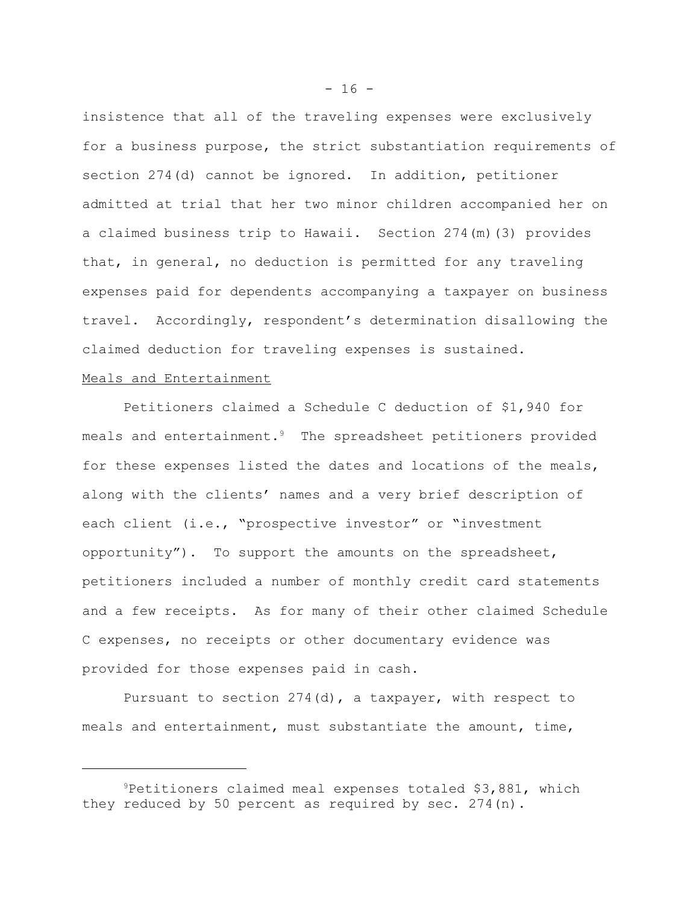insistence that all of the traveling expenses were exclusively for a business purpose, the strict substantiation requirements of section 274(d) cannot be ignored. In addition, petitioner admitted at trial that her two minor children accompanied her on a claimed business trip to Hawaii. Section 274(m)(3) provides that, in general, no deduction is permitted for any traveling expenses paid for dependents accompanying a taxpayer on business travel. Accordingly, respondent's determination disallowing the claimed deduction for traveling expenses is sustained.

## Meals and Entertainment

Petitioners claimed a Schedule C deduction of \$1,940 for meals and entertainment.<sup>9</sup> The spreadsheet petitioners provided for these expenses listed the dates and locations of the meals, along with the clients' names and a very brief description of each client (i.e., "prospective investor" or "investment opportunity"). To support the amounts on the spreadsheet, petitioners included a number of monthly credit card statements and a few receipts. As for many of their other claimed Schedule C expenses, no receipts or other documentary evidence was provided for those expenses paid in cash.

Pursuant to section 274(d), a taxpayer, with respect to meals and entertainment, must substantiate the amount, time,

 $9$ Petitioners claimed meal expenses totaled \$3,881, which they reduced by 50 percent as required by sec. 274(n).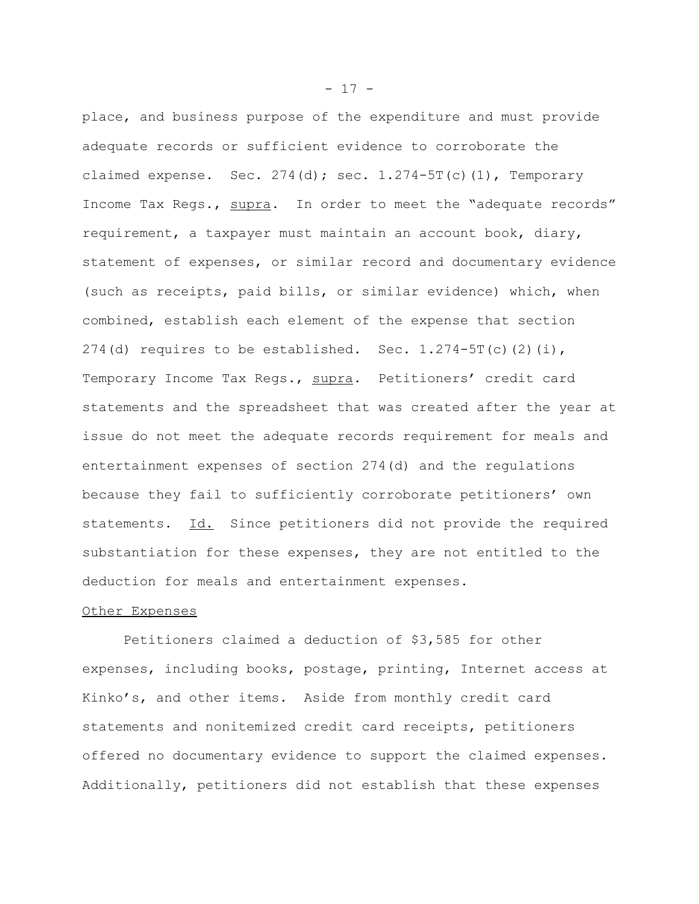place, and business purpose of the expenditure and must provide adequate records or sufficient evidence to corroborate the claimed expense. Sec.  $274(d)$ ; sec.  $1.274-5T(c)(1)$ , Temporary Income Tax Regs., supra. In order to meet the "adequate records" requirement, a taxpayer must maintain an account book, diary, statement of expenses, or similar record and documentary evidence (such as receipts, paid bills, or similar evidence) which, when combined, establish each element of the expense that section 274(d) requires to be established. Sec.  $1.274-5T(c)(2)(i)$ , Temporary Income Tax Regs., supra. Petitioners' credit card statements and the spreadsheet that was created after the year at issue do not meet the adequate records requirement for meals and entertainment expenses of section 274(d) and the regulations because they fail to sufficiently corroborate petitioners' own statements. Id. Since petitioners did not provide the required substantiation for these expenses, they are not entitled to the deduction for meals and entertainment expenses.

## Other Expenses

Petitioners claimed a deduction of \$3,585 for other expenses, including books, postage, printing, Internet access at Kinko's, and other items. Aside from monthly credit card statements and nonitemized credit card receipts, petitioners offered no documentary evidence to support the claimed expenses. Additionally, petitioners did not establish that these expenses

 $- 17 -$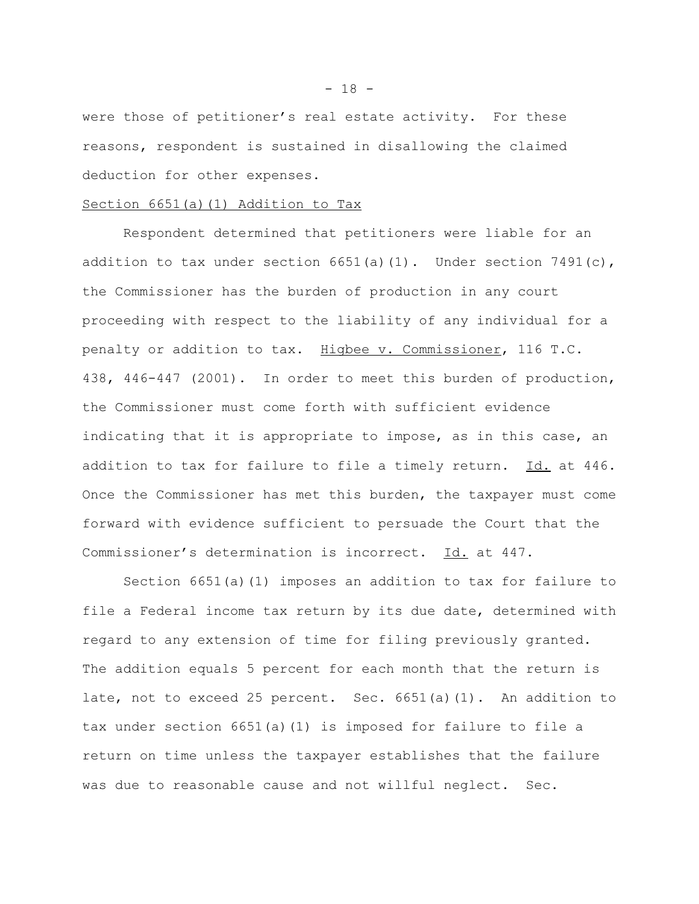were those of petitioner's real estate activity. For these reasons, respondent is sustained in disallowing the claimed deduction for other expenses.

#### Section 6651(a)(1) Addition to Tax

Respondent determined that petitioners were liable for an addition to tax under section  $6651(a)(1)$ . Under section  $7491(c)$ , the Commissioner has the burden of production in any court proceeding with respect to the liability of any individual for a penalty or addition to tax. Higbee v. Commissioner, 116 T.C. 438, 446-447 (2001). In order to meet this burden of production, the Commissioner must come forth with sufficient evidence indicating that it is appropriate to impose, as in this case, an addition to tax for failure to file a timely return. Id. at 446. Once the Commissioner has met this burden, the taxpayer must come forward with evidence sufficient to persuade the Court that the Commissioner's determination is incorrect. Id. at 447.

Section 6651(a)(1) imposes an addition to tax for failure to file a Federal income tax return by its due date, determined with regard to any extension of time for filing previously granted. The addition equals 5 percent for each month that the return is late, not to exceed 25 percent. Sec. 6651(a)(1). An addition to tax under section 6651(a)(1) is imposed for failure to file a return on time unless the taxpayer establishes that the failure was due to reasonable cause and not willful neglect. Sec.

 $- 18 -$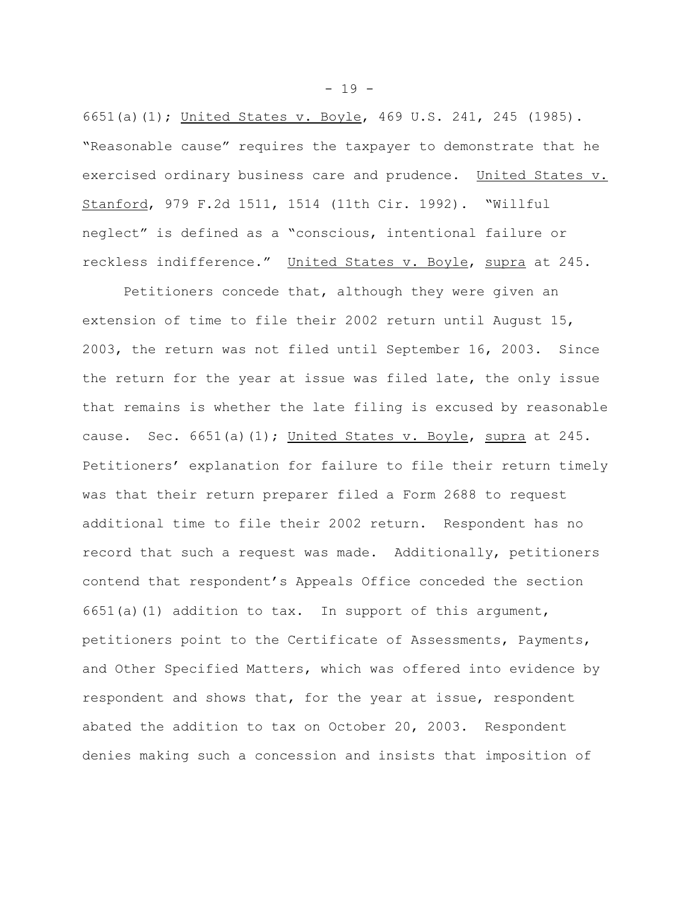6651(a)(1); United States v. Boyle, 469 U.S. 241, 245 (1985). "Reasonable cause" requires the taxpayer to demonstrate that he exercised ordinary business care and prudence. United States v. Stanford, 979 F.2d 1511, 1514 (11th Cir. 1992). "Willful neglect" is defined as a "conscious, intentional failure or reckless indifference." United States v. Boyle, supra at 245.

Petitioners concede that, although they were given an extension of time to file their 2002 return until August 15, 2003, the return was not filed until September 16, 2003. Since the return for the year at issue was filed late, the only issue that remains is whether the late filing is excused by reasonable cause. Sec. 6651(a)(1); United States v. Boyle, supra at 245. Petitioners' explanation for failure to file their return timely was that their return preparer filed a Form 2688 to request additional time to file their 2002 return. Respondent has no record that such a request was made. Additionally, petitioners contend that respondent's Appeals Office conceded the section  $6651(a)(1)$  addition to tax. In support of this argument, petitioners point to the Certificate of Assessments, Payments, and Other Specified Matters, which was offered into evidence by respondent and shows that, for the year at issue, respondent abated the addition to tax on October 20, 2003. Respondent denies making such a concession and insists that imposition of

 $- 19 -$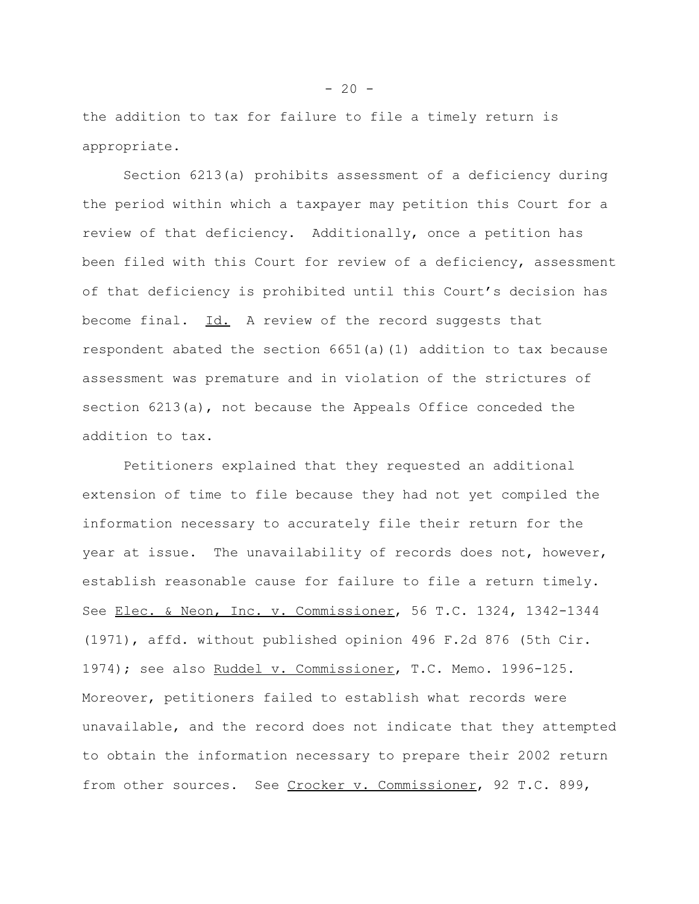the addition to tax for failure to file a timely return is appropriate.

Section 6213(a) prohibits assessment of a deficiency during the period within which a taxpayer may petition this Court for a review of that deficiency. Additionally, once a petition has been filed with this Court for review of a deficiency, assessment of that deficiency is prohibited until this Court's decision has become final. Id. A review of the record suggests that respondent abated the section 6651(a)(1) addition to tax because assessment was premature and in violation of the strictures of section 6213(a), not because the Appeals Office conceded the addition to tax.

Petitioners explained that they requested an additional extension of time to file because they had not yet compiled the information necessary to accurately file their return for the year at issue. The unavailability of records does not, however, establish reasonable cause for failure to file a return timely. See Elec. & Neon, Inc. v. Commissioner, 56 T.C. 1324, 1342-1344 (1971), affd. without published opinion 496 F.2d 876 (5th Cir. 1974); see also Ruddel v. Commissioner, T.C. Memo. 1996-125. Moreover, petitioners failed to establish what records were unavailable, and the record does not indicate that they attempted to obtain the information necessary to prepare their 2002 return from other sources. See Crocker v. Commissioner, 92 T.C. 899,